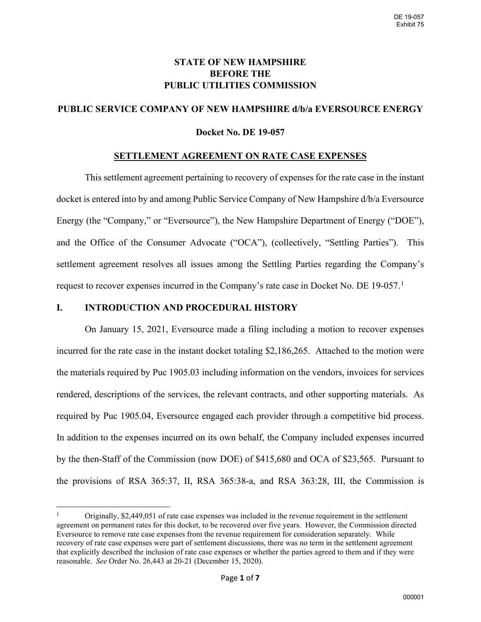# **STATE OF NEW HAMPSHIRE BEFORE THE PUBLIC UTILITIES COMMISSION**

# **PUBLIC SERVICE COMPANY OF NEW HAMPSHIRE d/b/a EVERSOURCE ENERGY**

## **Docket No. DE 19-057**

#### **SETTLEMENT AGREEMENT ON RATE CASE EXPENSES**

This settlement agreement pertaining to recovery of expenses for the rate case in the instant docket is entered into by and among Public Service Company of New Hampshire d/b/a Eversource Energy (the "Company," or "Eversource"), the New Hampshire Department of Energy ("DOE"), and the Office of the Consumer Advocate ("OCA"), (collectively, "Settling Parties"). This settlement agreement resolves all issues among the Settling Parties regarding the Company's request to recover expenses incurred in the Company's rate case in Docket No. DE [1](#page-0-0)9-057.<sup>1</sup>

## **I. INTRODUCTION AND PROCEDURAL HISTORY**

On January 15, 2021, Eversource made a filing including a motion to recover expenses incurred for the rate case in the instant docket totaling \$2,186,265. Attached to the motion were the materials required by Puc 1905.03 including information on the vendors, invoices for services rendered, descriptions of the services, the relevant contracts, and other supporting materials. As required by Puc 1905.04, Eversource engaged each provider through a competitive bid process. In addition to the expenses incurred on its own behalf, the Company included expenses incurred by the then-Staff of the Commission (now DOE) of \$415,680 and OCA of \$23,565. Pursuant to the provisions of RSA 365:37, II, RSA 365:38-a, and RSA 363:28, III, the Commission is

<span id="page-0-0"></span><sup>1</sup> Originally, \$2,449,051 of rate case expenses was included in the revenue requirement in the settlement agreement on permanent rates for this docket, to be recovered over five years. However, the Commission directed Eversource to remove rate case expenses from the revenue requirement for consideration separately. While recovery of rate case expenses were part of settlement discussions, there was no term in the settlement agreement that explicitly described the inclusion of rate case expenses or whether the parties agreed to them and if they were reasonable. *See* Order No. 26,443 at 20-21 (December 15, 2020).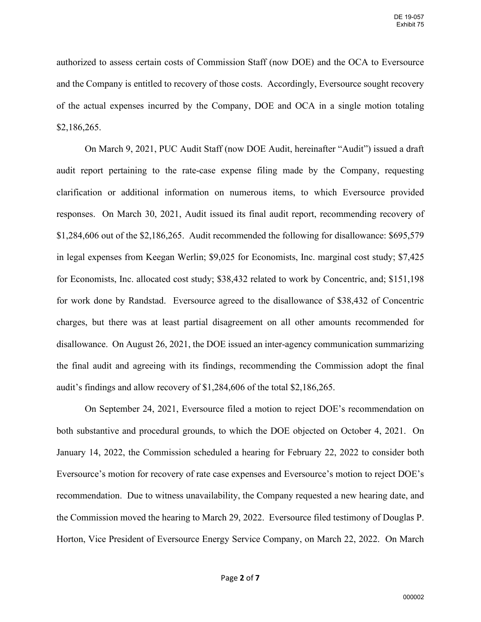authorized to assess certain costs of Commission Staff (now DOE) and the OCA to Eversource and the Company is entitled to recovery of those costs. Accordingly, Eversource sought recovery of the actual expenses incurred by the Company, DOE and OCA in a single motion totaling \$2,186,265.

On March 9, 2021, PUC Audit Staff (now DOE Audit, hereinafter "Audit") issued a draft audit report pertaining to the rate-case expense filing made by the Company, requesting clarification or additional information on numerous items, to which Eversource provided responses. On March 30, 2021, Audit issued its final audit report, recommending recovery of \$1,284,606 out of the \$2,186,265. Audit recommended the following for disallowance: \$695,579 in legal expenses from Keegan Werlin; \$9,025 for Economists, Inc. marginal cost study; \$7,425 for Economists, Inc. allocated cost study; \$38,432 related to work by Concentric, and; \$151,198 for work done by Randstad. Eversource agreed to the disallowance of \$38,432 of Concentric charges, but there was at least partial disagreement on all other amounts recommended for disallowance. On August 26, 2021, the DOE issued an inter-agency communication summarizing the final audit and agreeing with its findings, recommending the Commission adopt the final audit's findings and allow recovery of \$1,284,606 of the total \$2,186,265.

On September 24, 2021, Eversource filed a motion to reject DOE's recommendation on both substantive and procedural grounds, to which the DOE objected on October 4, 2021. On January 14, 2022, the Commission scheduled a hearing for February 22, 2022 to consider both Eversource's motion for recovery of rate case expenses and Eversource's motion to reject DOE's recommendation. Due to witness unavailability, the Company requested a new hearing date, and the Commission moved the hearing to March 29, 2022. Eversource filed testimony of Douglas P. Horton, Vice President of Eversource Energy Service Company, on March 22, 2022. On March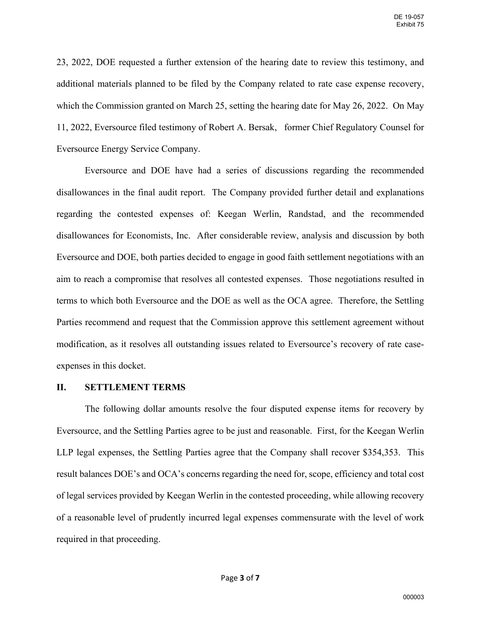23, 2022, DOE requested a further extension of the hearing date to review this testimony, and additional materials planned to be filed by the Company related to rate case expense recovery, which the Commission granted on March 25, setting the hearing date for May 26, 2022. On May 11, 2022, Eversource filed testimony of Robert A. Bersak, former Chief Regulatory Counsel for Eversource Energy Service Company.

Eversource and DOE have had a series of discussions regarding the recommended disallowances in the final audit report. The Company provided further detail and explanations regarding the contested expenses of: Keegan Werlin, Randstad, and the recommended disallowances for Economists, Inc. After considerable review, analysis and discussion by both Eversource and DOE, both parties decided to engage in good faith settlement negotiations with an aim to reach a compromise that resolves all contested expenses. Those negotiations resulted in terms to which both Eversource and the DOE as well as the OCA agree. Therefore, the Settling Parties recommend and request that the Commission approve this settlement agreement without modification, as it resolves all outstanding issues related to Eversource's recovery of rate caseexpenses in this docket.

#### **II. SETTLEMENT TERMS**

The following dollar amounts resolve the four disputed expense items for recovery by Eversource, and the Settling Parties agree to be just and reasonable. First, for the Keegan Werlin LLP legal expenses, the Settling Parties agree that the Company shall recover \$354,353. This result balances DOE's and OCA's concerns regarding the need for, scope, efficiency and total cost of legal services provided by Keegan Werlin in the contested proceeding, while allowing recovery of a reasonable level of prudently incurred legal expenses commensurate with the level of work required in that proceeding.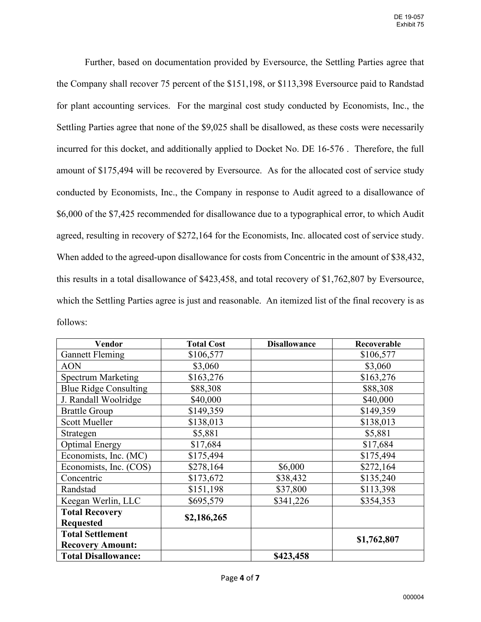Further, based on documentation provided by Eversource, the Settling Parties agree that the Company shall recover 75 percent of the \$151,198, or \$113,398 Eversource paid to Randstad for plant accounting services. For the marginal cost study conducted by Economists, Inc., the Settling Parties agree that none of the \$9,025 shall be disallowed, as these costs were necessarily incurred for this docket, and additionally applied to Docket No. DE 16-576 . Therefore, the full amount of \$175,494 will be recovered by Eversource. As for the allocated cost of service study conducted by Economists, Inc., the Company in response to Audit agreed to a disallowance of \$6,000 of the \$7,425 recommended for disallowance due to a typographical error, to which Audit agreed, resulting in recovery of \$272,164 for the Economists, Inc. allocated cost of service study. When added to the agreed-upon disallowance for costs from Concentric in the amount of \$38,432, this results in a total disallowance of \$423,458, and total recovery of \$1,762,807 by Eversource, which the Settling Parties agree is just and reasonable. An itemized list of the final recovery is as follows:

| Vendor                       | <b>Total Cost</b> | <b>Disallowance</b> | Recoverable |
|------------------------------|-------------------|---------------------|-------------|
| <b>Gannett Fleming</b>       | \$106,577         |                     | \$106,577   |
| <b>AON</b>                   | \$3,060           |                     | \$3,060     |
| <b>Spectrum Marketing</b>    | \$163,276         |                     | \$163,276   |
| <b>Blue Ridge Consulting</b> | \$88,308          |                     | \$88,308    |
| J. Randall Woolridge         | \$40,000          |                     | \$40,000    |
| <b>Brattle Group</b>         | \$149,359         |                     | \$149,359   |
| <b>Scott Mueller</b>         | \$138,013         |                     | \$138,013   |
| Strategen                    | \$5,881           |                     | \$5,881     |
| <b>Optimal Energy</b>        | \$17,684          |                     | \$17,684    |
| Economists, Inc. (MC)        | \$175,494         |                     | \$175,494   |
| Economists, Inc. (COS)       | \$278,164         | \$6,000             | \$272,164   |
| Concentric                   | \$173,672         | \$38,432            | \$135,240   |
| Randstad                     | \$151,198         | \$37,800            | \$113,398   |
| Keegan Werlin, LLC           | \$695,579         | \$341,226           | \$354,353   |
| <b>Total Recovery</b>        | \$2,186,265       |                     |             |
| <b>Requested</b>             |                   |                     |             |
| <b>Total Settlement</b>      |                   |                     | \$1,762,807 |
| <b>Recovery Amount:</b>      |                   |                     |             |
| <b>Total Disallowance:</b>   |                   | \$423,458           |             |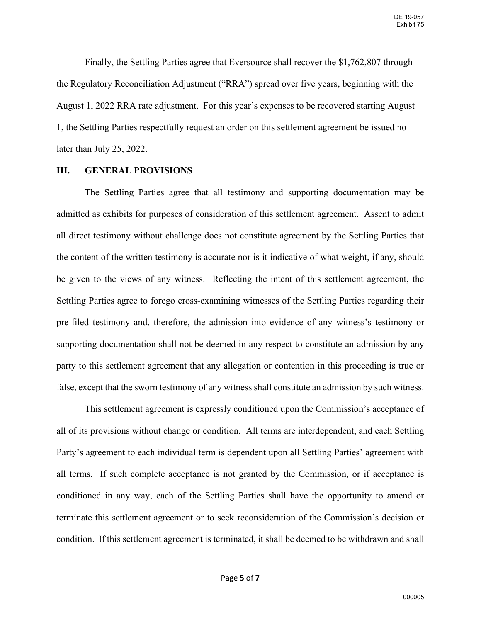Finally, the Settling Parties agree that Eversource shall recover the \$1,762,807 through the Regulatory Reconciliation Adjustment ("RRA") spread over five years, beginning with the August 1, 2022 RRA rate adjustment. For this year's expenses to be recovered starting August 1, the Settling Parties respectfully request an order on this settlement agreement be issued no later than July 25, 2022.

#### **III. GENERAL PROVISIONS**

The Settling Parties agree that all testimony and supporting documentation may be admitted as exhibits for purposes of consideration of this settlement agreement. Assent to admit all direct testimony without challenge does not constitute agreement by the Settling Parties that the content of the written testimony is accurate nor is it indicative of what weight, if any, should be given to the views of any witness. Reflecting the intent of this settlement agreement, the Settling Parties agree to forego cross-examining witnesses of the Settling Parties regarding their pre-filed testimony and, therefore, the admission into evidence of any witness's testimony or supporting documentation shall not be deemed in any respect to constitute an admission by any party to this settlement agreement that any allegation or contention in this proceeding is true or false, except that the sworn testimony of any witness shall constitute an admission by such witness.

This settlement agreement is expressly conditioned upon the Commission's acceptance of all of its provisions without change or condition. All terms are interdependent, and each Settling Party's agreement to each individual term is dependent upon all Settling Parties' agreement with all terms. If such complete acceptance is not granted by the Commission, or if acceptance is conditioned in any way, each of the Settling Parties shall have the opportunity to amend or terminate this settlement agreement or to seek reconsideration of the Commission's decision or condition. If this settlement agreement is terminated, it shall be deemed to be withdrawn and shall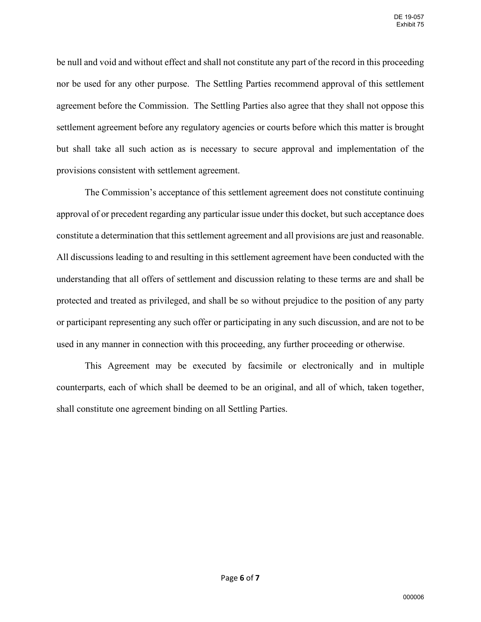be null and void and without effect and shall not constitute any part of the record in this proceeding nor be used for any other purpose. The Settling Parties recommend approval of this settlement agreement before the Commission. The Settling Parties also agree that they shall not oppose this settlement agreement before any regulatory agencies or courts before which this matter is brought but shall take all such action as is necessary to secure approval and implementation of the provisions consistent with settlement agreement.

The Commission's acceptance of this settlement agreement does not constitute continuing approval of or precedent regarding any particular issue under this docket, but such acceptance does constitute a determination that this settlement agreement and all provisions are just and reasonable. All discussions leading to and resulting in this settlement agreement have been conducted with the understanding that all offers of settlement and discussion relating to these terms are and shall be protected and treated as privileged, and shall be so without prejudice to the position of any party or participant representing any such offer or participating in any such discussion, and are not to be used in any manner in connection with this proceeding, any further proceeding or otherwise.

This Agreement may be executed by facsimile or electronically and in multiple counterparts, each of which shall be deemed to be an original, and all of which, taken together, shall constitute one agreement binding on all Settling Parties.